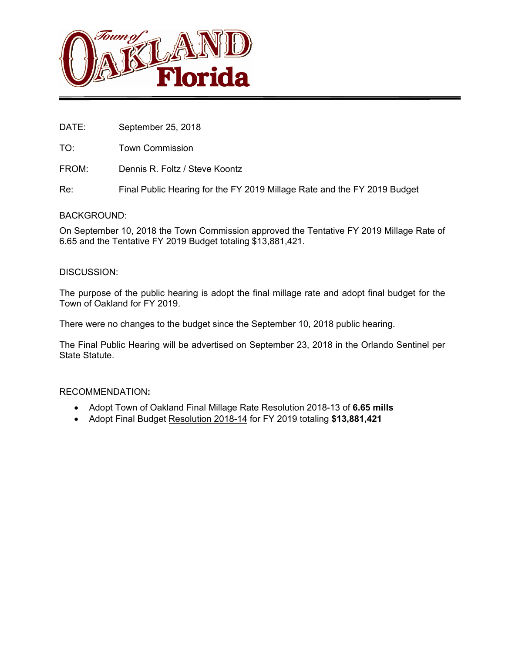

DATE: September 25, 2018

TO: Town Commission

FROM: Dennis R. Foltz / Steve Koontz

Re: Final Public Hearing for the FY 2019 Millage Rate and the FY 2019 Budget

#### BACKGROUND:

On September 10, 2018 the Town Commission approved the Tentative FY 2019 Millage Rate of 6.65 and the Tentative FY 2019 Budget totaling \$13,881,421.

#### DISCUSSION:

The purpose of the public hearing is adopt the final millage rate and adopt final budget for the Town of Oakland for FY 2019.

There were no changes to the budget since the September 10, 2018 public hearing.

The Final Public Hearing will be advertised on September 23, 2018 in the Orlando Sentinel per State Statute.

#### RECOMMENDATION**:**

- Adopt Town of Oakland Final Millage Rate Resolution 2018-13 of **6.65 mills**
- Adopt Final Budget Resolution 2018-14 for FY 2019 totaling **\$13,881,421**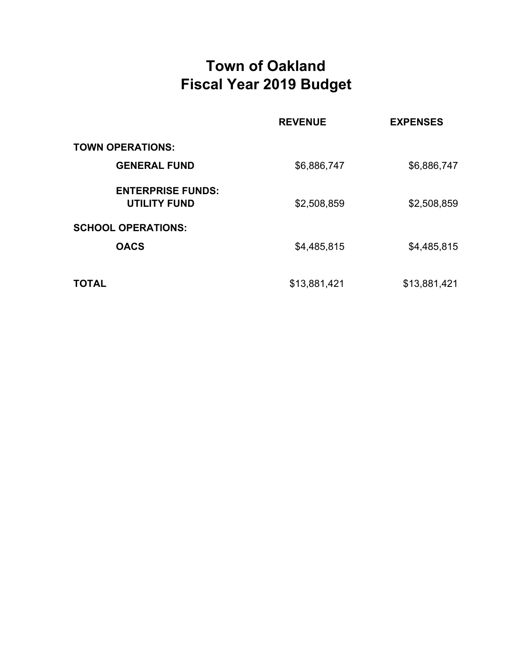# **Town of Oakland Fiscal Year 2019 Budget**

|                                                 | <b>REVENUE</b> | <b>EXPENSES</b> |
|-------------------------------------------------|----------------|-----------------|
| <b>TOWN OPERATIONS:</b>                         |                |                 |
| <b>GENERAL FUND</b>                             | \$6,886,747    | \$6,886,747     |
| <b>ENTERPRISE FUNDS:</b><br><b>UTILITY FUND</b> | \$2,508,859    | \$2,508,859     |
| <b>SCHOOL OPERATIONS:</b>                       |                |                 |
| <b>OACS</b>                                     | \$4,485,815    | \$4,485,815     |
|                                                 |                |                 |
| <b>TOTAL</b>                                    | \$13,881,421   | \$13,881,421    |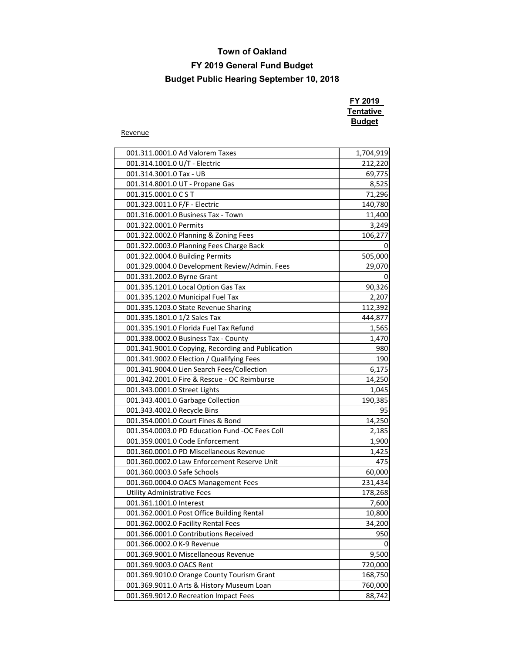## **FY 2019 General Fund Budget**

## **Budget Public Hearing September 10, 2018**

| FY 2019   |
|-----------|
| Tentative |
| Budget    |

Revenue

| 001.311.0001.0 Ad Valorem Taxes                   | 1,704,919 |
|---------------------------------------------------|-----------|
| 001.314.1001.0 U/T - Electric                     | 212,220   |
| 001.314.3001.0 Tax - UB                           | 69,775    |
| 001.314.8001.0 UT - Propane Gas                   | 8,525     |
| 001.315.0001.0 CST                                | 71,296    |
| 001.323.0011.0 F/F - Electric                     | 140,780   |
| 001.316.0001.0 Business Tax - Town                | 11,400    |
| 001.322.0001.0 Permits                            | 3,249     |
| 001.322.0002.0 Planning & Zoning Fees             | 106,277   |
| 001.322.0003.0 Planning Fees Charge Back          | 0         |
| 001.322.0004.0 Building Permits                   | 505,000   |
| 001.329.0004.0 Development Review/Admin. Fees     | 29,070    |
| 001.331.2002.0 Byrne Grant                        | 0         |
| 001.335.1201.0 Local Option Gas Tax               | 90,326    |
| 001.335.1202.0 Municipal Fuel Tax                 | 2,207     |
| 001.335.1203.0 State Revenue Sharing              | 112,392   |
| 001.335.1801.0 1/2 Sales Tax                      | 444,877   |
| 001.335.1901.0 Florida Fuel Tax Refund            | 1,565     |
| 001.338.0002.0 Business Tax - County              | 1,470     |
| 001.341.9001.0 Copying, Recording and Publication | 980       |
| 001.341.9002.0 Election / Qualifying Fees         | 190       |
| 001.341.9004.0 Lien Search Fees/Collection        | 6,175     |
| 001.342.2001.0 Fire & Rescue - OC Reimburse       | 14,250    |
| 001.343.0001.0 Street Lights                      | 1,045     |
| 001.343.4001.0 Garbage Collection                 | 190,385   |
| 001.343.4002.0 Recycle Bins                       | 95        |
| 001.354.0001.0 Court Fines & Bond                 | 14,250    |
| 001.354.0003.0 PD Education Fund -OC Fees Coll    | 2,185     |
| 001.359.0001.0 Code Enforcement                   | 1,900     |
| 001.360.0001.0 PD Miscellaneous Revenue           | 1,425     |
| 001.360.0002.0 Law Enforcement Reserve Unit       | 475       |
| 001.360.0003.0 Safe Schools                       | 60,000    |
| 001.360.0004.0 OACS Management Fees               | 231,434   |
| <b>Utility Administrative Fees</b>                | 178,268   |
| 001.361.1001.0 Interest                           | 7,600     |
| 001.362.0001.0 Post Office Building Rental        | 10,800    |
| 001.362.0002.0 Facility Rental Fees               | 34,200    |
| 001.366.0001.0 Contributions Received             | 950       |
| 001.366.0002.0 K-9 Revenue                        | 0         |
| 001.369.9001.0 Miscellaneous Revenue              | 9,500     |
| 001.369.9003.0 OACS Rent                          | 720,000   |
| 001.369.9010.0 Orange County Tourism Grant        | 168,750   |
| 001.369.9011.0 Arts & History Museum Loan         | 760,000   |
| 001.369.9012.0 Recreation Impact Fees             | 88,742    |
|                                                   |           |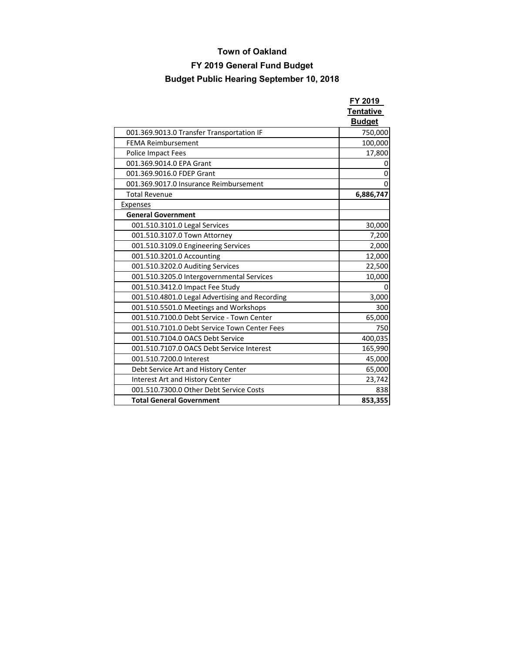## **FY 2019 General Fund Budget**

|                                                | FY 2019<br><b>Tentative</b> |
|------------------------------------------------|-----------------------------|
|                                                | <b>Budget</b>               |
| 001.369.9013.0 Transfer Transportation IF      | 750,000                     |
| <b>FEMA Reimbursement</b>                      | 100,000                     |
| Police Impact Fees                             | 17,800                      |
| 001.369.9014.0 EPA Grant                       | 0                           |
| 001.369.9016.0 FDEP Grant                      | 0                           |
| 001.369.9017.0 Insurance Reimbursement         | $\Omega$                    |
| <b>Total Revenue</b>                           | 6,886,747                   |
| Expenses                                       |                             |
| <b>General Government</b>                      |                             |
| 001.510.3101.0 Legal Services                  | 30,000                      |
| 001.510.3107.0 Town Attorney                   | 7,200                       |
| 001.510.3109.0 Engineering Services            | 2,000                       |
| 001.510.3201.0 Accounting                      | 12,000                      |
| 001.510.3202.0 Auditing Services               | 22,500                      |
| 001.510.3205.0 Intergovernmental Services      | 10,000                      |
| 001.510.3412.0 Impact Fee Study                | ŋ                           |
| 001.510.4801.0 Legal Advertising and Recording | 3,000                       |
| 001.510.5501.0 Meetings and Workshops          | 300                         |
| 001.510.7100.0 Debt Service - Town Center      | 65,000                      |
| 001.510.7101.0 Debt Service Town Center Fees   | 750                         |
| 001.510.7104.0 OACS Debt Service               | 400,035                     |
| 001.510.7107.0 OACS Debt Service Interest      | 165,990                     |
| 001.510.7200.0 Interest                        | 45,000                      |
| Debt Service Art and History Center            | 65,000                      |
| Interest Art and History Center                | 23,742                      |
| 001.510.7300.0 Other Debt Service Costs        | 838                         |
| <b>Total General Government</b>                | 853,355                     |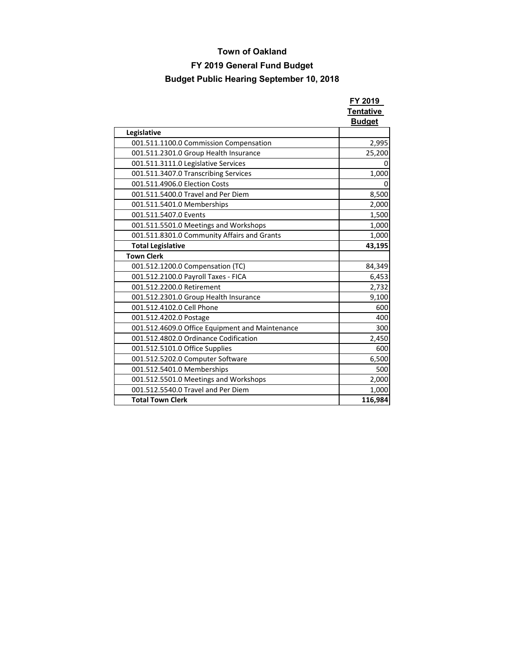## **FY 2019 General Fund Budget**

|                                                 | FY 2019<br><b>Tentative</b><br><b>Budget</b> |
|-------------------------------------------------|----------------------------------------------|
| Legislative                                     |                                              |
| 001.511.1100.0 Commission Compensation          | 2,995                                        |
| 001.511.2301.0 Group Health Insurance           | 25,200                                       |
| 001.511.3111.0 Legislative Services             | 0                                            |
| 001.511.3407.0 Transcribing Services            | 1,000                                        |
| 001.511.4906.0 Election Costs                   | 0                                            |
| 001.511.5400.0 Travel and Per Diem              | 8,500                                        |
| 001.511.5401.0 Memberships                      | 2,000                                        |
| 001.511.5407.0 Events                           | 1,500                                        |
| 001.511.5501.0 Meetings and Workshops           | 1,000                                        |
| 001.511.8301.0 Community Affairs and Grants     | 1,000                                        |
| <b>Total Legislative</b>                        | 43,195                                       |
| <b>Town Clerk</b>                               |                                              |
| 001.512.1200.0 Compensation (TC)                | 84,349                                       |
| 001.512.2100.0 Payroll Taxes - FICA             | 6,453                                        |
| 001.512.2200.0 Retirement                       | 2,732                                        |
| 001.512.2301.0 Group Health Insurance           | 9,100                                        |
| 001.512.4102.0 Cell Phone                       | 600                                          |
| 001.512.4202.0 Postage                          | 400                                          |
| 001.512.4609.0 Office Equipment and Maintenance | 300                                          |
| 001.512.4802.0 Ordinance Codification           | 2,450                                        |
| 001.512.5101.0 Office Supplies                  | 600                                          |
| 001.512.5202.0 Computer Software                | 6,500                                        |
| 001.512.5401.0 Memberships                      | 500                                          |
| 001.512.5501.0 Meetings and Workshops           | 2,000                                        |
| 001.512.5540.0 Travel and Per Diem              | 1,000                                        |
| <b>Total Town Clerk</b>                         | 116,984                                      |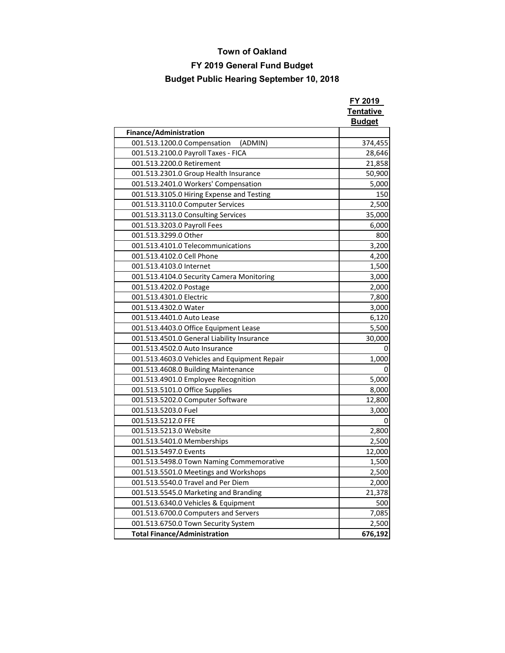## **FY 2019 General Fund Budget**

|                                              | FY 2019<br>Tentative |
|----------------------------------------------|----------------------|
|                                              | <b>Budget</b>        |
| Finance/Administration                       |                      |
| (ADMIN)<br>001.513.1200.0 Compensation       | 374,455              |
| 001.513.2100.0 Payroll Taxes - FICA          | 28,646               |
| 001.513.2200.0 Retirement                    | 21,858               |
| 001.513.2301.0 Group Health Insurance        | 50,900               |
| 001.513.2401.0 Workers' Compensation         | 5,000                |
| 001.513.3105.0 Hiring Expense and Testing    | 150                  |
| 001.513.3110.0 Computer Services             | 2,500                |
| 001.513.3113.0 Consulting Services           | 35,000               |
| 001.513.3203.0 Payroll Fees                  | 6,000                |
| 001.513.3299.0 Other                         | 800                  |
| 001.513.4101.0 Telecommunications            | 3,200                |
| 001.513.4102.0 Cell Phone                    | 4,200                |
| 001.513.4103.0 Internet                      | 1,500                |
| 001.513.4104.0 Security Camera Monitoring    | 3,000                |
| 001.513.4202.0 Postage                       | 2,000                |
| 001.513.4301.0 Electric                      | 7,800                |
| 001.513.4302.0 Water                         | 3,000                |
| 001.513.4401.0 Auto Lease                    | 6,120                |
| 001.513.4403.0 Office Equipment Lease        | 5,500                |
| 001.513.4501.0 General Liability Insurance   | 30,000               |
| 001.513.4502.0 Auto Insurance                | 0                    |
| 001.513.4603.0 Vehicles and Equipment Repair | 1,000                |
| 001.513.4608.0 Building Maintenance          | 0                    |
| 001.513.4901.0 Employee Recognition          | 5,000                |
| 001.513.5101.0 Office Supplies               | 8,000                |
| 001.513.5202.0 Computer Software             | 12,800               |
| 001.513.5203.0 Fuel                          | 3,000                |
| 001.513.5212.0 FFE                           | 0                    |
| 001.513.5213.0 Website                       | 2,800                |
| 001.513.5401.0 Memberships                   | 2,500                |
| 001.513.5497.0 Events                        | 12,000               |
| 001.513.5498.0 Town Naming Commemorative     | 1,500                |
| 001.513.5501.0 Meetings and Workshops        | 2,500                |
| 001.513.5540.0 Travel and Per Diem           | 2,000                |
| 001.513.5545.0 Marketing and Branding        | 21,378               |
| 001.513.6340.0 Vehicles & Equipment          | 500                  |
| 001.513.6700.0 Computers and Servers         | 7,085                |
| 001.513.6750.0 Town Security System          | 2,500                |
| <b>Total Finance/Administration</b>          | 676,192              |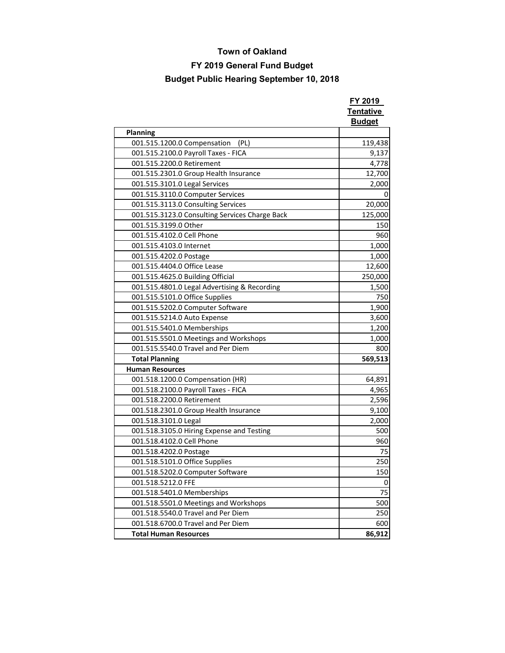## **FY 2019 General Fund Budget**

|                                                | FY 2019                           |
|------------------------------------------------|-----------------------------------|
|                                                | <b>Tentative</b><br><b>Budget</b> |
| <b>Planning</b>                                |                                   |
| 001.515.1200.0 Compensation<br>(PL)            | 119,438                           |
| 001.515.2100.0 Payroll Taxes - FICA            | 9,137                             |
| 001.515.2200.0 Retirement                      | 4,778                             |
| 001.515.2301.0 Group Health Insurance          | 12,700                            |
| 001.515.3101.0 Legal Services                  | 2,000                             |
| 001.515.3110.0 Computer Services               | 0                                 |
| 001.515.3113.0 Consulting Services             | 20,000                            |
| 001.515.3123.0 Consulting Services Charge Back | 125,000                           |
| 001.515.3199.0 Other                           | 150                               |
| 001.515.4102.0 Cell Phone                      | 960                               |
| 001.515.4103.0 Internet                        | 1,000                             |
| 001.515.4202.0 Postage                         | 1,000                             |
| 001.515.4404.0 Office Lease                    | 12,600                            |
| 001.515.4625.0 Building Official               | 250,000                           |
| 001.515.4801.0 Legal Advertising & Recording   | 1,500                             |
| 001.515.5101.0 Office Supplies                 | 750                               |
| 001.515.5202.0 Computer Software               | 1,900                             |
| 001.515.5214.0 Auto Expense                    | 3,600                             |
| 001.515.5401.0 Memberships                     | 1,200                             |
| 001.515.5501.0 Meetings and Workshops          | 1,000                             |
| 001.515.5540.0 Travel and Per Diem             | 800                               |
| <b>Total Planning</b>                          | 569,513                           |
| <b>Human Resources</b>                         |                                   |
| 001.518.1200.0 Compensation (HR)               | 64,891                            |
| 001.518.2100.0 Payroll Taxes - FICA            | 4,965                             |
| 001.518.2200.0 Retirement                      | 2,596                             |
| 001.518.2301.0 Group Health Insurance          | 9,100                             |
| 001.518.3101.0 Legal                           | 2,000                             |
| 001.518.3105.0 Hiring Expense and Testing      | 500                               |
| 001.518.4102.0 Cell Phone                      | 960                               |
| 001.518.4202.0 Postage                         | 75                                |
| 001.518.5101.0 Office Supplies                 | 250                               |
| 001.518.5202.0 Computer Software               | 150                               |
| 001.518.5212.0 FFE                             | 0                                 |
| 001.518.5401.0 Memberships                     | 75                                |
| 001.518.5501.0 Meetings and Workshops          | 500                               |
| 001.518.5540.0 Travel and Per Diem             | 250                               |
| 001.518.6700.0 Travel and Per Diem             | 600                               |
| <b>Total Human Resources</b>                   | 86,912                            |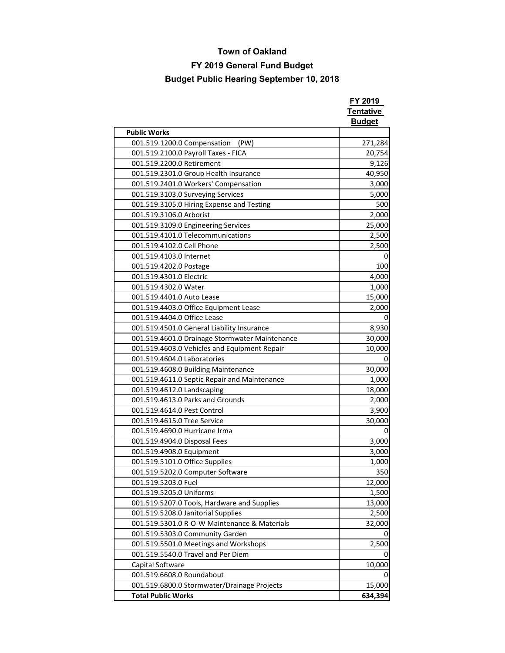## **FY 2019 General Fund Budget**

|                                                | FY 2019<br>Tentative<br><b>Budget</b> |
|------------------------------------------------|---------------------------------------|
| <b>Public Works</b>                            |                                       |
| 001.519.1200.0 Compensation<br>(PW)            | 271,284                               |
| 001.519.2100.0 Payroll Taxes - FICA            | 20,754                                |
| 001.519.2200.0 Retirement                      | 9,126                                 |
| 001.519.2301.0 Group Health Insurance          | 40,950                                |
| 001.519.2401.0 Workers' Compensation           | 3,000                                 |
| 001.519.3103.0 Surveying Services              | 5,000                                 |
| 001.519.3105.0 Hiring Expense and Testing      | 500                                   |
| 001.519.3106.0 Arborist                        | 2,000                                 |
| 001.519.3109.0 Engineering Services            | 25,000                                |
| 001.519.4101.0 Telecommunications              | 2,500                                 |
| 001.519.4102.0 Cell Phone                      | 2,500                                 |
| 001.519.4103.0 Internet                        | 0                                     |
| 001.519.4202.0 Postage                         | 100                                   |
| 001.519.4301.0 Electric                        | 4,000                                 |
| 001.519.4302.0 Water                           | 1,000                                 |
| 001.519.4401.0 Auto Lease                      | 15,000                                |
| 001.519.4403.0 Office Equipment Lease          | 2,000                                 |
| 001.519.4404.0 Office Lease                    | 0                                     |
| 001.519.4501.0 General Liability Insurance     | 8,930                                 |
| 001.519.4601.0 Drainage Stormwater Maintenance | 30,000                                |
| 001.519.4603.0 Vehicles and Equipment Repair   | 10,000                                |
| 001.519.4604.0 Laboratories                    | 0                                     |
| 001.519.4608.0 Building Maintenance            | 30,000                                |
| 001.519.4611.0 Septic Repair and Maintenance   | 1,000                                 |
| 001.519.4612.0 Landscaping                     | 18,000                                |
| 001.519.4613.0 Parks and Grounds               | 2,000                                 |
| 001.519.4614.0 Pest Control                    | 3,900                                 |
| 001.519.4615.0 Tree Service                    | 30,000                                |
| 001.519.4690.0 Hurricane Irma                  | 0                                     |
| 001.519.4904.0 Disposal Fees                   | 3,000                                 |
| 001.519.4908.0 Equipment                       | 3,000                                 |
| 001.519.5101.0 Office Supplies                 | 1,000                                 |
| 001.519.5202.0 Computer Software               | 350                                   |
| 001.519.5203.0 Fuel                            | 12,000                                |
| 001.519.5205.0 Uniforms                        | 1,500                                 |
| 001.519.5207.0 Tools, Hardware and Supplies    | 13,000                                |
| 001.519.5208.0 Janitorial Supplies             | 2,500                                 |
| 001.519.5301.0 R-O-W Maintenance & Materials   | 32,000                                |
| 001.519.5303.0 Community Garden                |                                       |
| 001.519.5501.0 Meetings and Workshops          | 2,500                                 |
| 001.519.5540.0 Travel and Per Diem             |                                       |
| Capital Software                               | 10,000                                |
| 001.519.6608.0 Roundabout                      | 0                                     |
| 001.519.6800.0 Stormwater/Drainage Projects    | 15,000                                |
| <b>Total Public Works</b>                      | 634,394                               |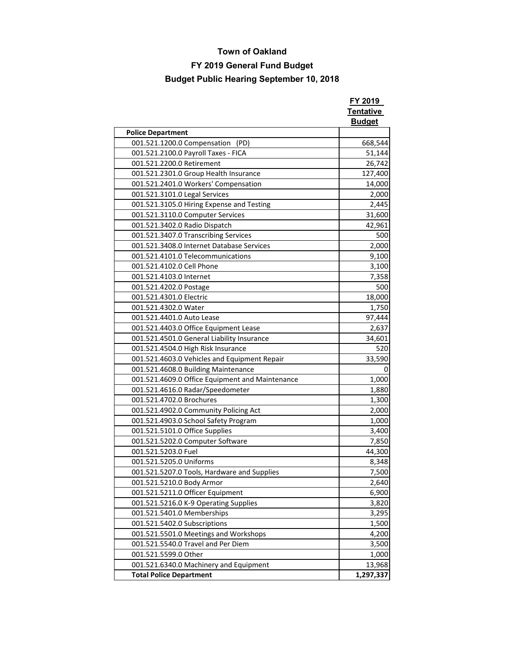## **FY 2019 General Fund Budget**

|                                                                        | FY 2019<br>Tentative<br><b>Budget</b> |
|------------------------------------------------------------------------|---------------------------------------|
| <b>Police Department</b>                                               |                                       |
| 001.521.1200.0 Compensation<br>(PD)                                    | 668,544                               |
| 001.521.2100.0 Payroll Taxes - FICA                                    | 51,144                                |
| 001.521.2200.0 Retirement                                              | 26,742                                |
| 001.521.2301.0 Group Health Insurance                                  | 127,400                               |
| 001.521.2401.0 Workers' Compensation                                   | 14,000                                |
| 001.521.3101.0 Legal Services                                          | 2,000                                 |
| 001.521.3105.0 Hiring Expense and Testing                              | 2,445                                 |
| 001.521.3110.0 Computer Services                                       | 31,600                                |
| 001.521.3402.0 Radio Dispatch                                          | 42,961                                |
| 001.521.3407.0 Transcribing Services                                   | 500                                   |
| 001.521.3408.0 Internet Database Services                              | 2,000                                 |
| 001.521.4101.0 Telecommunications                                      | 9,100                                 |
| 001.521.4102.0 Cell Phone                                              | 3,100                                 |
| 001.521.4103.0 Internet                                                | 7,358                                 |
| 001.521.4202.0 Postage                                                 | 500                                   |
| 001.521.4301.0 Electric                                                | 18,000                                |
| 001.521.4302.0 Water                                                   | 1,750                                 |
| 001.521.4401.0 Auto Lease                                              | 97,444                                |
| 001.521.4403.0 Office Equipment Lease                                  | 2,637                                 |
| 001.521.4501.0 General Liability Insurance                             | 34,601                                |
| 001.521.4504.0 High Risk Insurance                                     | 520                                   |
| 001.521.4603.0 Vehicles and Equipment Repair                           | 33,590                                |
| 001.521.4608.0 Building Maintenance                                    | 0                                     |
| 001.521.4609.0 Office Equipment and Maintenance                        | 1,000                                 |
| 001.521.4616.0 Radar/Speedometer                                       | 1,880                                 |
| 001.521.4702.0 Brochures                                               | 1,300                                 |
| 001.521.4902.0 Community Policing Act                                  | 2,000                                 |
| 001.521.4903.0 School Safety Program                                   | 1,000                                 |
| 001.521.5101.0 Office Supplies                                         | 3,400                                 |
| 001.521.5202.0 Computer Software                                       | 7,850                                 |
| 001.521.5203.0 Fuel                                                    | 44,300                                |
| 001.521.5205.0 Uniforms<br>001.521.5207.0 Tools, Hardware and Supplies | 8,348<br>7,500                        |
| 001.521.5210.0 Body Armor                                              | 2,640                                 |
| 001.521.5211.0 Officer Equipment                                       | 6,900                                 |
| 001.521.5216.0 K-9 Operating Supplies                                  | 3,820                                 |
| 001.521.5401.0 Memberships                                             | 3,295                                 |
| 001.521.5402.0 Subscriptions                                           | 1,500                                 |
| 001.521.5501.0 Meetings and Workshops                                  | 4,200                                 |
| 001.521.5540.0 Travel and Per Diem                                     | 3,500                                 |
| 001.521.5599.0 Other                                                   | 1,000                                 |
| 001.521.6340.0 Machinery and Equipment                                 | 13,968                                |
| <b>Total Police Department</b>                                         | 1,297,337                             |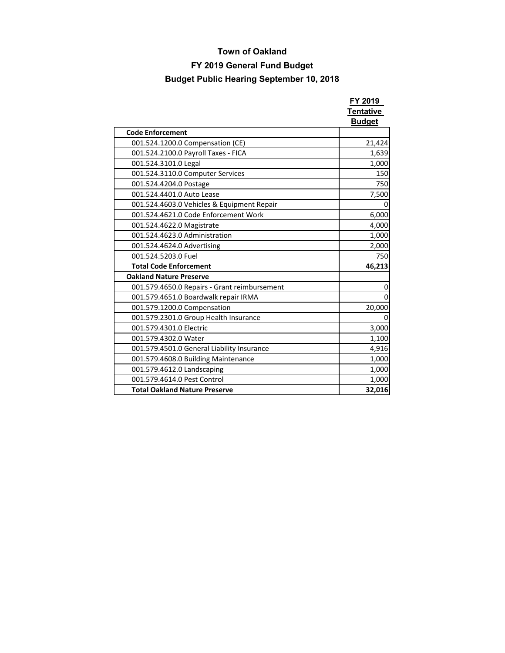## **FY 2019 General Fund Budget**

|                                              | FY 2019<br>Tentative<br><b>Budget</b> |
|----------------------------------------------|---------------------------------------|
| <b>Code Enforcement</b>                      |                                       |
| 001.524.1200.0 Compensation (CE)             | 21,424                                |
| 001.524.2100.0 Payroll Taxes - FICA          | 1,639                                 |
| 001.524.3101.0 Legal                         | 1,000                                 |
| 001.524.3110.0 Computer Services             | 150                                   |
| 001.524.4204.0 Postage                       | 750                                   |
| 001.524.4401.0 Auto Lease                    | 7,500                                 |
| 001.524.4603.0 Vehicles & Equipment Repair   |                                       |
| 001.524.4621.0 Code Enforcement Work         | 6,000                                 |
| 001.524.4622.0 Magistrate                    | 4,000                                 |
| 001.524.4623.0 Administration                | 1,000                                 |
| 001.524.4624.0 Advertising                   | 2,000                                 |
| 001.524.5203.0 Fuel                          | 750                                   |
| <b>Total Code Enforcement</b>                | 46,213                                |
| <b>Oakland Nature Preserve</b>               |                                       |
| 001.579.4650.0 Repairs - Grant reimbursement | 0                                     |
| 001.579.4651.0 Boardwalk repair IRMA         | ŋ                                     |
| 001.579.1200.0 Compensation                  | 20,000                                |
| 001.579.2301.0 Group Health Insurance        | 0                                     |
| 001.579.4301.0 Electric                      | 3,000                                 |
| 001.579.4302.0 Water                         | 1,100                                 |
| 001.579.4501.0 General Liability Insurance   | 4,916                                 |
| 001.579.4608.0 Building Maintenance          | 1,000                                 |
| 001.579.4612.0 Landscaping                   | 1,000                                 |
| 001.579.4614.0 Pest Control                  | 1,000                                 |
| <b>Total Oakland Nature Preserve</b>         | 32,016                                |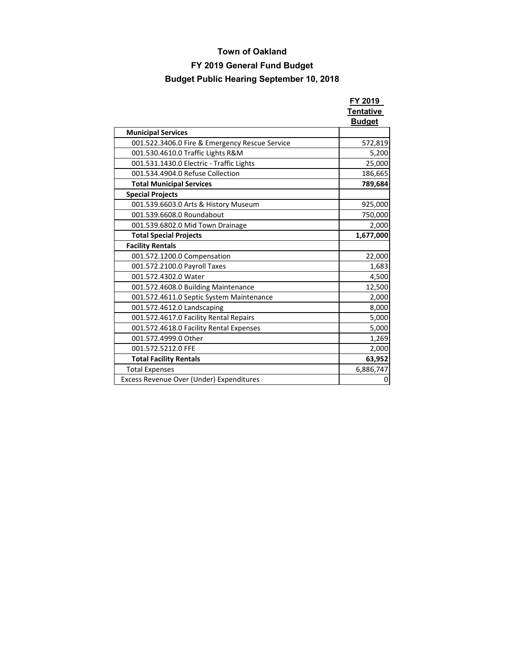## **FY 2019 General Fund Budget**

|                                                | FY 2019<br>Tentative<br><b>Budget</b> |
|------------------------------------------------|---------------------------------------|
| <b>Municipal Services</b>                      |                                       |
| 001.522.3406.0 Fire & Emergency Rescue Service | 572,819                               |
| 001.530.4610.0 Traffic Lights R&M              | 5,200                                 |
| 001.531.1430.0 Electric - Traffic Lights       | 25,000                                |
| 001.534.4904.0 Refuse Collection               | 186,665                               |
| <b>Total Municipal Services</b>                | 789,684                               |
| <b>Special Projects</b>                        |                                       |
| 001.539.6603.0 Arts & History Museum           | 925,000                               |
| 001.539.6608.0 Roundabout                      | 750,000                               |
| 001.539.6802.0 Mid Town Drainage               | 2,000                                 |
| <b>Total Special Projects</b>                  | 1,677,000                             |
| <b>Facility Rentals</b>                        |                                       |
| 001.572.1200.0 Compensation                    | 22,000                                |
| 001.572.2100.0 Payroll Taxes                   | 1,683                                 |
| 001.572.4302.0 Water                           | 4,500                                 |
| 001.572.4608.0 Building Maintenance            | 12,500                                |
| 001.572.4611.0 Septic System Maintenance       | 2,000                                 |
| 001.572.4612.0 Landscaping                     | 8,000                                 |
| 001.572.4617.0 Facility Rental Repairs         | 5,000                                 |
| 001.572.4618.0 Facility Rental Expenses        | 5,000                                 |
| 001.572.4999.0 Other                           | 1,269                                 |
| 001.572.5212.0 FFE                             | 2,000                                 |
| <b>Total Facility Rentals</b>                  | 63,952                                |
| <b>Total Expenses</b>                          | 6,886,747                             |
| Excess Revenue Over (Under) Expenditures       | 0                                     |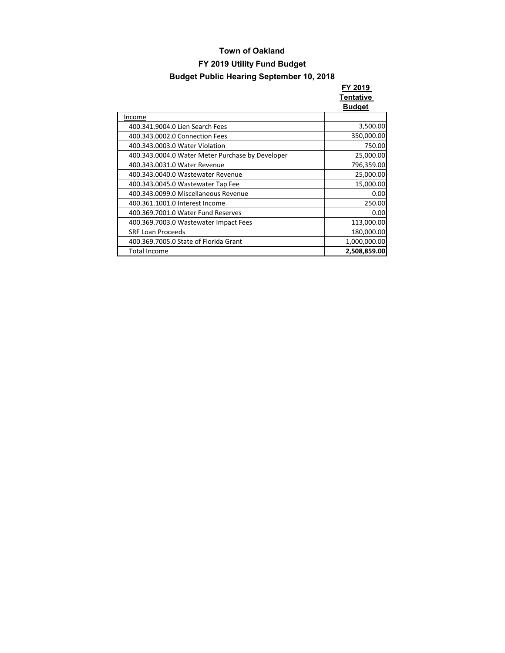|                                                  | FY 2019<br>Tentative<br><b>Budget</b> |
|--------------------------------------------------|---------------------------------------|
| Income                                           |                                       |
| 400.341.9004.0 Lien Search Fees                  | 3,500.00                              |
| 400.343.0002.0 Connection Fees                   | 350,000.00                            |
| 400.343.0003.0 Water Violation                   | 750.00                                |
| 400.343.0004.0 Water Meter Purchase by Developer | 25,000.00                             |
| 400.343.0031.0 Water Revenue                     | 796,359.00                            |
| 400.343.0040.0 Wastewater Revenue                | 25,000.00                             |
| 400.343.0045.0 Wastewater Tap Fee                | 15,000.00                             |
| 400.343.0099.0 Miscellaneous Revenue             | 0.00                                  |
| 400.361.1001.0 Interest Income                   | 250.00                                |
| 400.369.7001.0 Water Fund Reserves               | 0.00                                  |
| 400.369.7003.0 Wastewater Impact Fees            | 113,000.00                            |
| <b>SRF Loan Proceeds</b>                         | 180,000.00                            |
| 400.369.7005.0 State of Florida Grant            | 1,000,000.00                          |
| <b>Total Income</b>                              | 2,508,859.00                          |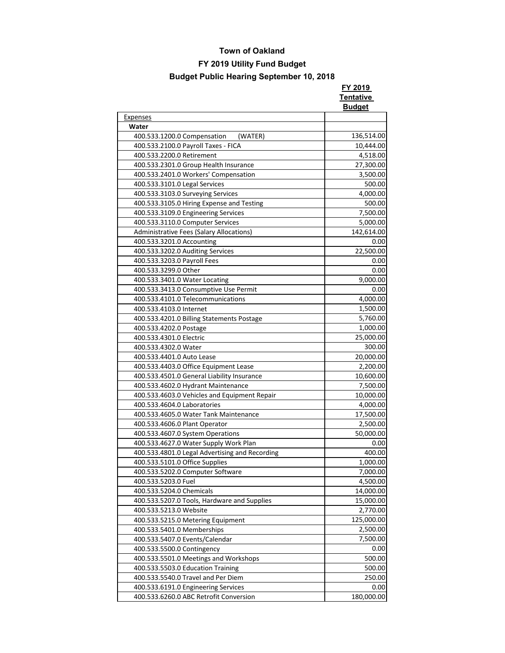**FY 2019** 

|                                                | <b>Tentative</b><br><b>Budget</b> |
|------------------------------------------------|-----------------------------------|
| <b>Expenses</b>                                |                                   |
| Water                                          |                                   |
| (WATER)<br>400.533.1200.0 Compensation         | 136,514.00                        |
| 400.533.2100.0 Payroll Taxes - FICA            | 10,444.00                         |
| 400.533.2200.0 Retirement                      | 4,518.00                          |
| 400.533.2301.0 Group Health Insurance          | 27,300.00                         |
| 400.533.2401.0 Workers' Compensation           | 3,500.00                          |
| 400.533.3101.0 Legal Services                  | 500.00                            |
| 400.533.3103.0 Surveying Services              | 4,000.00                          |
| 400.533.3105.0 Hiring Expense and Testing      | 500.00                            |
| 400.533.3109.0 Engineering Services            | 7,500.00                          |
| 400.533.3110.0 Computer Services               | 5,000.00                          |
| Administrative Fees (Salary Allocations)       | 142,614.00                        |
| 400.533.3201.0 Accounting                      | 0.00                              |
| 400.533.3202.0 Auditing Services               | 22,500.00                         |
| 400.533.3203.0 Payroll Fees                    | 0.00                              |
| 400.533.3299.0 Other                           | 0.00                              |
| 400.533.3401.0 Water Locating                  | 9,000.00                          |
| 400.533.3413.0 Consumptive Use Permit          | 0.00                              |
| 400.533.4101.0 Telecommunications              | 4,000.00                          |
|                                                | 1,500.00                          |
| 400.533.4103.0 Internet                        |                                   |
| 400.533.4201.0 Billing Statements Postage      | 5,760.00                          |
| 400.533.4202.0 Postage                         | 1,000.00                          |
| 400.533.4301.0 Electric                        | 25,000.00                         |
| 400.533.4302.0 Water                           | 300.00                            |
| 400.533.4401.0 Auto Lease                      | 20,000.00                         |
| 400.533.4403.0 Office Equipment Lease          | 2,200.00                          |
| 400.533.4501.0 General Liability Insurance     | 10,600.00                         |
| 400.533.4602.0 Hydrant Maintenance             | 7,500.00                          |
| 400.533.4603.0 Vehicles and Equipment Repair   | 10,000.00                         |
| 400.533.4604.0 Laboratories                    | 4,000.00                          |
| 400.533.4605.0 Water Tank Maintenance          | 17,500.00                         |
| 400.533.4606.0 Plant Operator                  | 2,500.00                          |
| 400.533.4607.0 System Operations               | 50,000.00                         |
| 400.533.4627.0 Water Supply Work Plan          | 0.00                              |
| 400.533.4801.0 Legal Advertising and Recording | 400.00                            |
| 400.533.5101.0 Office Supplies                 | 1,000.00                          |
| 400.533.5202.0 Computer Software               | 7,000.00                          |
| 400.533.5203.0 Fuel                            | 4,500.00                          |
| 400.533.5204.0 Chemicals                       | 14,000.00                         |
| 400.533.5207.0 Tools, Hardware and Supplies    | 15,000.00                         |
| 400.533.5213.0 Website                         | 2,770.00                          |
| 400.533.5215.0 Metering Equipment              | 125,000.00                        |
| 400.533.5401.0 Memberships                     | 2,500.00                          |
| 400.533.5407.0 Events/Calendar                 | 7,500.00                          |
| 400.533.5500.0 Contingency                     | 0.00                              |
| 400.533.5501.0 Meetings and Workshops          | 500.00                            |
| 400.533.5503.0 Education Training              | 500.00                            |
| 400.533.5540.0 Travel and Per Diem             | 250.00                            |
| 400.533.6191.0 Engineering Services            | 0.00                              |
| 400.533.6260.0 ABC Retrofit Conversion         | 180,000.00                        |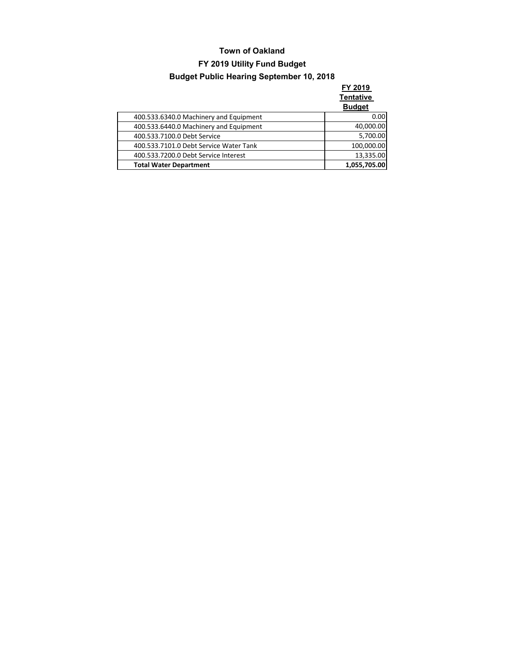**FY 2019 Tentative** 

|                                        | <b>Budget</b> |
|----------------------------------------|---------------|
| 400.533.6340.0 Machinery and Equipment | 0.00          |
| 400.533.6440.0 Machinery and Equipment | 40,000.00     |
| 400.533.7100.0 Debt Service            | 5,700.00      |
| 400.533.7101.0 Debt Service Water Tank | 100,000.00    |
| 400.533.7200.0 Debt Service Interest   | 13,335.00     |
| <b>Total Water Department</b>          | 1,055,705.00  |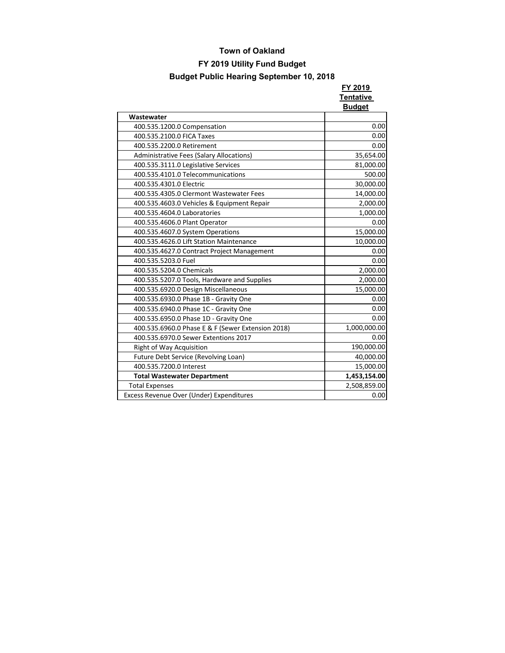|                                                   | FY 2019          |
|---------------------------------------------------|------------------|
|                                                   | <b>Tentative</b> |
|                                                   | <b>Budget</b>    |
| Wastewater                                        |                  |
| 400.535.1200.0 Compensation                       | 0.00             |
| 400.535.2100.0 FICA Taxes                         | 0.00             |
| 400.535.2200.0 Retirement                         | 0.00             |
| <b>Administrative Fees (Salary Allocations)</b>   | 35,654.00        |
| 400.535.3111.0 Legislative Services               | 81,000.00        |
| 400.535.4101.0 Telecommunications                 | 500.00           |
| 400.535.4301.0 Electric                           | 30,000.00        |
| 400.535.4305.0 Clermont Wastewater Fees           | 14,000.00        |
| 400.535.4603.0 Vehicles & Equipment Repair        | 2,000.00         |
| 400.535.4604.0 Laboratories                       | 1,000.00         |
| 400.535.4606.0 Plant Operator                     | 0.00             |
| 400.535.4607.0 System Operations                  | 15,000.00        |
| 400.535.4626.0 Lift Station Maintenance           | 10,000.00        |
| 400.535.4627.0 Contract Project Management        | 0.00             |
| 400.535.5203.0 Fuel                               | 0.00             |
| 400.535.5204.0 Chemicals                          | 2,000.00         |
| 400.535.5207.0 Tools, Hardware and Supplies       | 2,000.00         |
| 400.535.6920.0 Design Miscellaneous               | 15,000.00        |
| 400.535.6930.0 Phase 1B - Gravity One             | 0.00             |
| 400.535.6940.0 Phase 1C - Gravity One             | 0.00             |
| 400.535.6950.0 Phase 1D - Gravity One             | 0.00             |
| 400.535.6960.0 Phase E & F (Sewer Extension 2018) | 1,000,000.00     |
| 400.535.6970.0 Sewer Extentions 2017              | 0.00             |
| Right of Way Acquisition                          | 190,000.00       |
| Future Debt Service (Revolving Loan)              | 40,000.00        |
| 400.535.7200.0 Interest                           | 15,000.00        |
| <b>Total Wastewater Department</b>                | 1,453,154.00     |
| <b>Total Expenses</b>                             | 2,508,859.00     |
| Excess Revenue Over (Under) Expenditures          | 0.00             |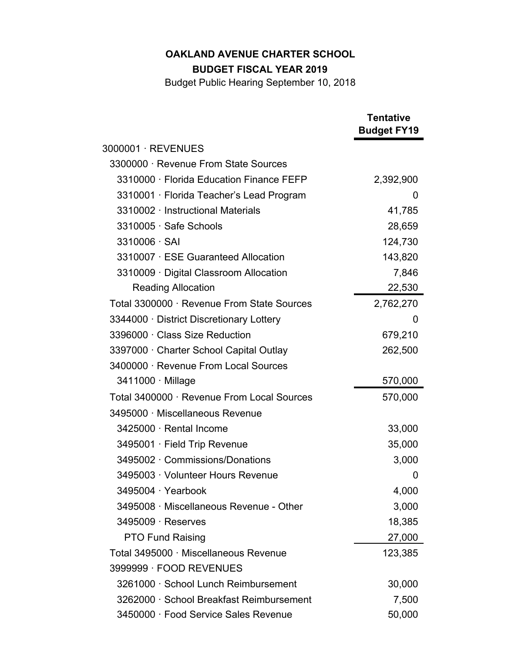**BUDGET FISCAL YEAR 2019**

|                                            | <b>Tentative</b><br><b>Budget FY19</b> |
|--------------------------------------------|----------------------------------------|
| 3000001 · REVENUES                         |                                        |
| 3300000 · Revenue From State Sources       |                                        |
| 3310000 · Florida Education Finance FEFP   | 2,392,900                              |
| 3310001 · Florida Teacher's Lead Program   | 0                                      |
| 3310002 Instructional Materials            | 41,785                                 |
| 3310005 Safe Schools                       | 28,659                                 |
| 3310006 SAI                                | 124,730                                |
| 3310007 ESE Guaranteed Allocation          | 143,820                                |
| 3310009 Digital Classroom Allocation       | 7,846                                  |
| <b>Reading Allocation</b>                  | 22,530                                 |
| Total 3300000 · Revenue From State Sources | 2,762,270                              |
| 3344000 District Discretionary Lottery     | 0                                      |
| 3396000 · Class Size Reduction             | 679,210                                |
| 3397000 Charter School Capital Outlay      | 262,500                                |
| 3400000 · Revenue From Local Sources       |                                        |
| 3411000 · Millage                          | 570,000                                |
| Total 3400000 · Revenue From Local Sources | 570,000                                |
| 3495000 Miscellaneous Revenue              |                                        |
| 3425000 · Rental Income                    | 33,000                                 |
| 3495001 · Field Trip Revenue               | 35,000                                 |
| 3495002 Commissions/Donations              | 3,000                                  |
| 3495003 · Volunteer Hours Revenue          | 0                                      |
| 3495004 Yearbook                           | 4,000                                  |
| 3495008 Miscellaneous Revenue - Other      | 3,000                                  |
| 3495009 Reserves                           | 18,385                                 |
| <b>PTO Fund Raising</b>                    | 27,000                                 |
| Total 3495000 · Miscellaneous Revenue      | 123,385                                |
| 3999999 · FOOD REVENUES                    |                                        |
| 3261000 · School Lunch Reimbursement       | 30,000                                 |
| 3262000 · School Breakfast Reimbursement   | 7,500                                  |
| 3450000 Food Service Sales Revenue         | 50,000                                 |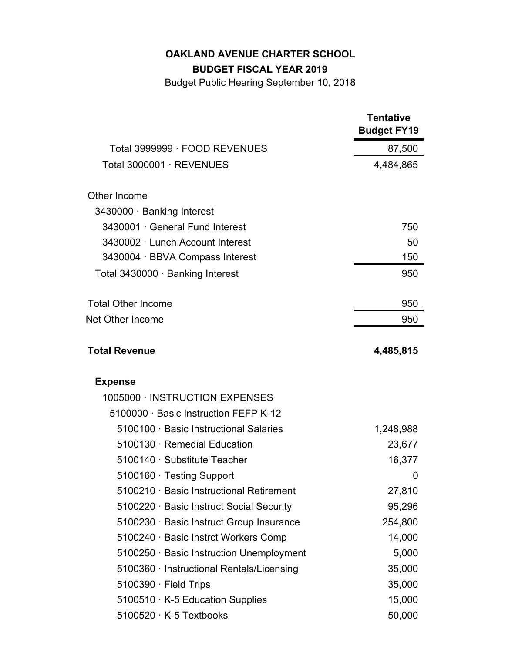## **BUDGET FISCAL YEAR 2019**

|                                          | <b>Tentative</b><br><b>Budget FY19</b> |
|------------------------------------------|----------------------------------------|
| Total 3999999 · FOOD REVENUES            | 87,500                                 |
| Total 3000001 · REVENUES                 | 4,484,865                              |
| Other Income                             |                                        |
| 3430000 Banking Interest                 |                                        |
| 3430001 General Fund Interest            | 750                                    |
| 3430002 Lunch Account Interest           | 50                                     |
| 3430004 · BBVA Compass Interest          | 150                                    |
| Total 3430000 · Banking Interest         | 950                                    |
| <b>Total Other Income</b>                | 950                                    |
| <b>Net Other Income</b>                  | 950                                    |
| <b>Total Revenue</b>                     | 4,485,815                              |
| <b>Expense</b>                           |                                        |
| 1005000 INSTRUCTION EXPENSES             |                                        |
| 5100000 Basic Instruction FEFP K-12      |                                        |
| 5100100 Basic Instructional Salaries     | 1,248,988                              |
| 5100130 Remedial Education               | 23,677                                 |
| 5100140 Substitute Teacher               | 16,377                                 |
| 5100160 Testing Support                  | 0                                      |
| 5100210 · Basic Instructional Retirement | 27,810                                 |
| 5100220 · Basic Instruct Social Security | 95,296                                 |
| 5100230 · Basic Instruct Group Insurance | 254,800                                |
| 5100240 · Basic Instrct Workers Comp     | 14,000                                 |
| 5100250 Basic Instruction Unemployment   | 5,000                                  |
| 5100360 Instructional Rentals/Licensing  | 35,000                                 |
| 5100390 · Field Trips                    | 35,000                                 |
| 5100510 · K-5 Education Supplies         | 15,000                                 |
| 5100520 K-5 Textbooks                    | 50,000                                 |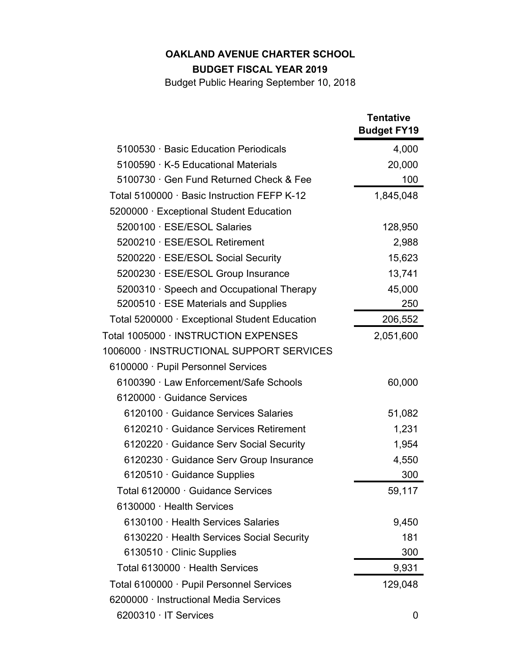# **BUDGET FISCAL YEAR 2019**

|                                               | <b>Tentative</b><br><b>Budget FY19</b> |
|-----------------------------------------------|----------------------------------------|
| 5100530 Basic Education Periodicals           | 4,000                                  |
| 5100590 K-5 Educational Materials             | 20,000                                 |
| 5100730 Gen Fund Returned Check & Fee         | 100                                    |
| Total 5100000 · Basic Instruction FEFP K-12   | 1,845,048                              |
| 5200000 Exceptional Student Education         |                                        |
| 5200100 ESE/ESOL Salaries                     | 128,950                                |
| 5200210 · ESE/ESOL Retirement                 | 2,988                                  |
| 5200220 ESE/ESOL Social Security              | 15,623                                 |
| 5200230 · ESE/ESOL Group Insurance            | 13,741                                 |
| 5200310 · Speech and Occupational Therapy     | 45,000                                 |
| 5200510 ESE Materials and Supplies            | 250                                    |
| Total 5200000 · Exceptional Student Education | 206,552                                |
| Total 1005000 · INSTRUCTION EXPENSES          | 2,051,600                              |
| 1006000 · INSTRUCTIONAL SUPPORT SERVICES      |                                        |
| 6100000 Pupil Personnel Services              |                                        |
| 6100390 Law Enforcement/Safe Schools          | 60,000                                 |
| 6120000 Guidance Services                     |                                        |
| 6120100 Guidance Services Salaries            | 51,082                                 |
| 6120210 Guidance Services Retirement          | 1,231                                  |
| 6120220 Guidance Serv Social Security         | 1,954                                  |
| 6120230 Guidance Serv Group Insurance         | 4,550                                  |
| 6120510 Guidance Supplies                     | 300                                    |
| Total 6120000 Guidance Services               | 59,117                                 |
| 6130000 Health Services                       |                                        |
| 6130100 Health Services Salaries              | 9,450                                  |
| 6130220 Health Services Social Security       | 181                                    |
| 6130510 Clinic Supplies                       | 300                                    |
| Total 6130000 Health Services                 | 9,931                                  |
| Total 6100000 · Pupil Personnel Services      | 129,048                                |
| 6200000 Instructional Media Services          |                                        |
| 6200310 IT Services                           | 0                                      |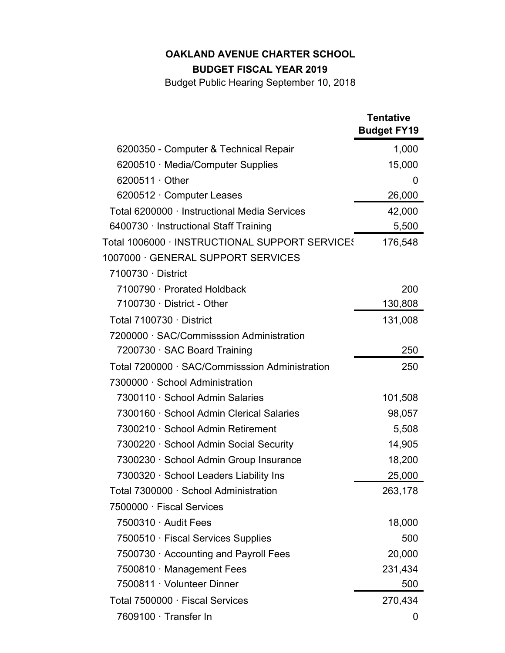# **BUDGET FISCAL YEAR 2019**

|                                                | <b>Tentative</b><br><b>Budget FY19</b> |
|------------------------------------------------|----------------------------------------|
| 6200350 - Computer & Technical Repair          | 1,000                                  |
| 6200510 Media/Computer Supplies                | 15,000                                 |
| 6200511 Other                                  | O                                      |
| 6200512 · Computer Leases                      | 26,000                                 |
| Total 6200000 Instructional Media Services     | 42,000                                 |
| 6400730 Instructional Staff Training           | 5,500                                  |
| Total 1006000 · INSTRUCTIONAL SUPPORT SERVICES | 176,548                                |
| 1007000 GENERAL SUPPORT SERVICES               |                                        |
| 7100730 District                               |                                        |
| 7100790 · Prorated Holdback                    | 200                                    |
| 7100730 District - Other                       | 130,808                                |
| Total 7100730 District                         | 131,008                                |
| 7200000 · SAC/Commisssion Administration       |                                        |
| 7200730 SAC Board Training                     | 250                                    |
| Total 7200000 · SAC/Commisssion Administration | 250                                    |
| 7300000 School Administration                  |                                        |
| 7300110 School Admin Salaries                  | 101,508                                |
| 7300160 · School Admin Clerical Salaries       | 98,057                                 |
| 7300210 · School Admin Retirement              | 5,508                                  |
| 7300220 School Admin Social Security           | 14,905                                 |
| 7300230 · School Admin Group Insurance         | 18,200                                 |
| 7300320 · School Leaders Liability Ins         | 25,000                                 |
| Total 7300000 School Administration            | 263,178                                |
| 7500000 Fiscal Services                        |                                        |
| 7500310 Audit Fees                             | 18,000                                 |
| 7500510 Fiscal Services Supplies               | 500                                    |
| 7500730 Accounting and Payroll Fees            | 20,000                                 |
| 7500810 Management Fees                        | 231,434                                |
| 7500811 · Volunteer Dinner                     | 500                                    |
| Total 7500000 Fiscal Services                  | 270,434                                |
| 7609100 · Transfer In                          | 0                                      |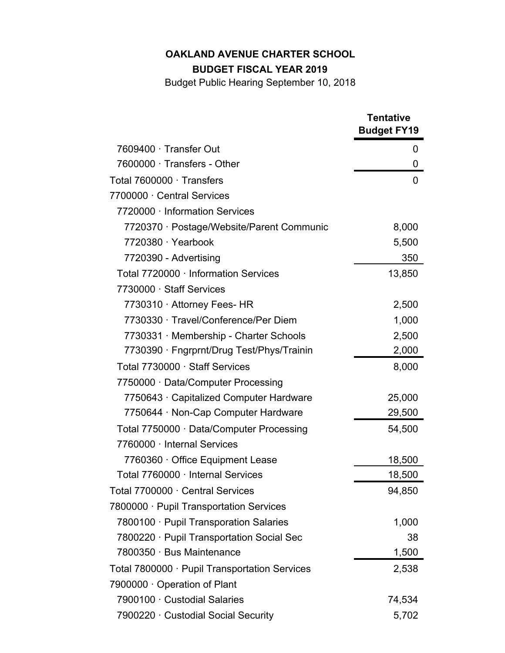## **BUDGET FISCAL YEAR 2019**

|                                             | <b>Tentative</b><br><b>Budget FY19</b> |
|---------------------------------------------|----------------------------------------|
| 7609400 Transfer Out                        | 0                                      |
| 7600000 Transfers - Other                   | 0                                      |
| Total 7600000 Transfers                     | 0                                      |
| 7700000 Central Services                    |                                        |
| 7720000 Information Services                |                                        |
| 7720370 · Postage/Website/Parent Communic   | 8,000                                  |
| 7720380 Yearbook                            | 5,500                                  |
| 7720390 - Advertising                       | 350                                    |
| Total 7720000 Information Services          | 13,850                                 |
| 7730000 Staff Services                      |                                        |
| 7730310 · Attorney Fees- HR                 | 2,500                                  |
| 7730330 · Travel/Conference/Per Diem        | 1,000                                  |
| 7730331 Membership - Charter Schools        | 2,500                                  |
| 7730390 · Fngrprnt/Drug Test/Phys/Trainin   | 2,000                                  |
| Total 7730000 Staff Services                | 8,000                                  |
| 7750000 Data/Computer Processing            |                                        |
| 7750643 Capitalized Computer Hardware       | 25,000                                 |
| 7750644 · Non-Cap Computer Hardware         | 29,500                                 |
| Total 7750000 Data/Computer Processing      | 54,500                                 |
| 7760000 Internal Services                   |                                        |
| 7760360 Office Equipment Lease              | 18,500                                 |
| Total 7760000 · Internal Services           | 18,500                                 |
| Total 7700000 Central Services              | 94,850                                 |
| 7800000 Pupil Transportation Services       |                                        |
| 7800100 Pupil Transporation Salaries        | 1,000                                  |
| 7800220 Pupil Transportation Social Sec     | 38                                     |
| 7800350 · Bus Maintenance                   | 1,500                                  |
| Total 7800000 Pupil Transportation Services | 2,538                                  |
| 7900000 · Operation of Plant                |                                        |
| 7900100 Custodial Salaries                  | 74,534                                 |
| 7900220 Custodial Social Security           | 5,702                                  |